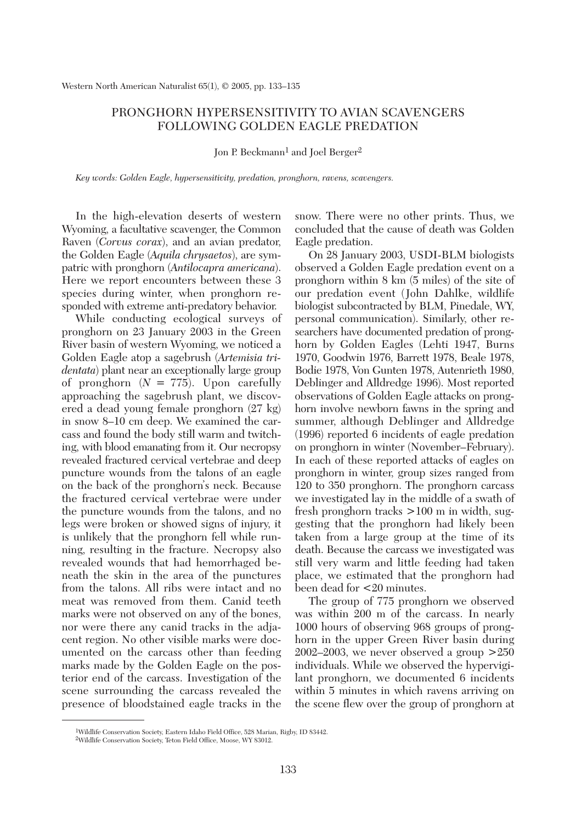## PRONGHORN HYPERSENSITIVITY TO AVIAN SCAVENGERS FOLLOWING GOLDEN EAGLE PREDATION

Ion P. Beckmann<sup>1</sup> and Joel Berger<sup>2</sup>

*Key words: Golden Eagle, hypersensitivity, predation, pronghorn, ravens, scavengers.*

In the high-elevation deserts of western Wyoming, a facultative scavenger, the Common Raven (*Corvus corax*), and an avian predator, the Golden Eagle (*Aquila chrysaetos*), are sympatric with pronghorn (*Antilocapra americana*). Here we report encounters between these 3 species during winter, when pronghorn responded with extreme anti-predatory behavior.

While conducting ecological surveys of pronghorn on 23 January 2003 in the Green River basin of western Wyoming, we noticed a Golden Eagle atop a sagebrush (*Artemisia tridentata*) plant near an exceptionally large group of pronghorn  $(N = 775)$ . Upon carefully approaching the sagebrush plant, we discovered a dead young female pronghorn (27 kg) in snow 8–10 cm deep. We examined the carcass and found the body still warm and twitching, with blood emanating from it. Our necropsy revealed fractured cervical vertebrae and deep puncture wounds from the talons of an eagle on the back of the pronghorn's neck. Because the fractured cervical vertebrae were under the puncture wounds from the talons, and no legs were broken or showed signs of injury, it is unlikely that the pronghorn fell while running, resulting in the fracture. Necropsy also revealed wounds that had hemorrhaged beneath the skin in the area of the punctures from the talons. All ribs were intact and no meat was removed from them. Canid teeth marks were not observed on any of the bones, nor were there any canid tracks in the adjacent region. No other visible marks were documented on the carcass other than feeding marks made by the Golden Eagle on the posterior end of the carcass. Investigation of the scene surrounding the carcass revealed the presence of bloodstained eagle tracks in the

snow. There were no other prints. Thus, we concluded that the cause of death was Golden Eagle predation.

On 28 January 2003, USDI-BLM biologists observed a Golden Eagle predation event on a pronghorn within 8 km (5 miles) of the site of our predation event (John Dahlke, wildlife biologist subcontracted by BLM, Pinedale, WY, personal communication). Similarly, other researchers have documented predation of pronghorn by Golden Eagles (Lehti 1947, Burns 1970, Goodwin 1976, Barrett 1978, Beale 1978, Bodie 1978, Von Gunten 1978, Autenrieth 1980, Deblinger and Alldredge 1996). Most reported observations of Golden Eagle attacks on pronghorn involve newborn fawns in the spring and summer, although Deblinger and Alldredge (1996) reported 6 incidents of eagle predation on pronghorn in winter (November–February). In each of these reported attacks of eagles on pronghorn in winter, group sizes ranged from 120 to 350 pronghorn. The pronghorn carcass we investigated lay in the middle of a swath of fresh pronghorn tracks >100 m in width, suggesting that the pronghorn had likely been taken from a large group at the time of its death. Because the carcass we investigated was still very warm and little feeding had taken place, we estimated that the pronghorn had been dead for <20 minutes.

The group of 775 pronghorn we observed was within 200 m of the carcass. In nearly 1000 hours of observing 968 groups of pronghorn in the upper Green River basin during 2002–2003, we never observed a group  $>250$ individuals. While we observed the hypervigilant pronghorn, we documented 6 incidents within 5 minutes in which ravens arriving on the scene flew over the group of pronghorn at

<sup>1</sup>Wildlife Conservation Society, Eastern Idaho Field Office, 528 Marian, Rigby, ID 83442.

<sup>2</sup>Wildlife Conservation Society, Teton Field Office, Moose, WY 83012.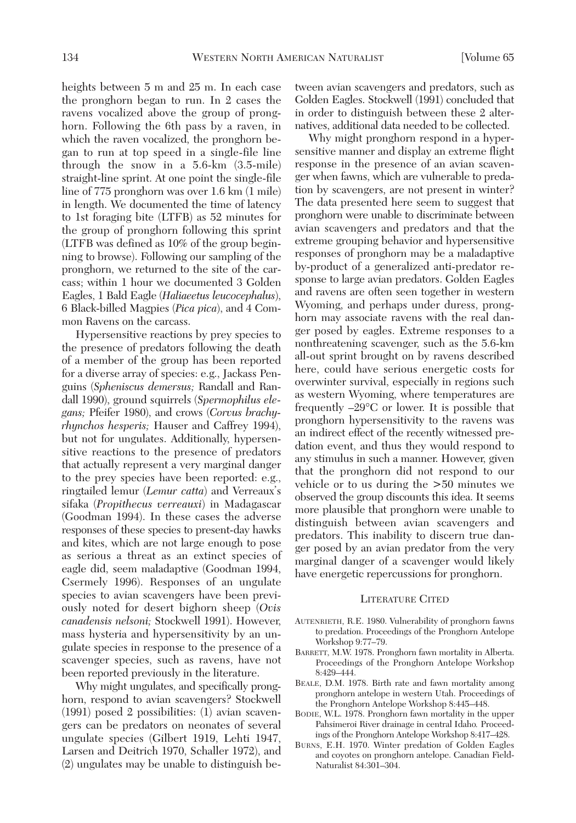heights between 5 m and 25 m. In each case the pronghorn began to run. In 2 cases the ravens vocalized above the group of pronghorn. Following the 6th pass by a raven, in which the raven vocalized, the pronghorn began to run at top speed in a single-file line through the snow in a 5.6-km (3.5-mile) straight-line sprint. At one point the single-file line of 775 pronghorn was over 1.6 km (1 mile) in length. We documented the time of latency to 1st foraging bite (LTFB) as 52 minutes for the group of pronghorn following this sprint (LTFB was defined as 10% of the group beginning to browse). Following our sampling of the pronghorn, we returned to the site of the carcass; within 1 hour we documented 3 Golden Eagles, 1 Bald Eagle (*Haliaeetus leucocephalus*), 6 Black-billed Magpies (*Pica pica*), and 4 Common Ravens on the carcass.

Hypersensitive reactions by prey species to the presence of predators following the death of a member of the group has been reported for a diverse array of species: e.g., Jackass Penguins (*Spheniscus demersus;* Randall and Randall 1990), ground squirrels (*Spermophilus elegans;* Pfeifer 1980), and crows (*Corvus brachyrhynchos hesperis;* Hauser and Caffrey 1994), but not for ungulates. Additionally, hypersensitive reactions to the presence of predators that actually represent a very marginal danger to the prey species have been reported: e.g., ringtailed lemur (*Lemur catta*) and Verreaux's sifaka (*Propithecus verreauxi*) in Madagascar (Goodman 1994). In these cases the adverse responses of these species to present-day hawks and kites, which are not large enough to pose as serious a threat as an extinct species of eagle did, seem maladaptive (Goodman 1994, Csermely 1996). Responses of an ungulate species to avian scavengers have been previously noted for desert bighorn sheep (*Ovis canadensis nelsoni;* Stockwell 1991). However, mass hysteria and hypersensitivity by an ungulate species in response to the presence of a scavenger species, such as ravens, have not been reported previously in the literature.

Why might ungulates, and specifically pronghorn, respond to avian scavengers? Stockwell (1991) posed 2 possibilities: (1) avian scavengers can be predators on neonates of several ungulate species (Gilbert 1919, Lehti 1947, Larsen and Deitrich 1970, Schaller 1972), and (2) ungulates may be unable to distinguish between avian scavengers and predators, such as Golden Eagles. Stockwell (1991) concluded that in order to distinguish between these 2 alternatives, additional data needed to be collected.

Why might pronghorn respond in a hypersensitive manner and display an extreme flight response in the presence of an avian scavenger when fawns, which are vulnerable to predation by scavengers, are not present in winter? The data presented here seem to suggest that pronghorn were unable to discriminate between avian scavengers and predators and that the extreme grouping behavior and hypersensitive responses of pronghorn may be a maladaptive by-product of a generalized anti-predator response to large avian predators. Golden Eagles and ravens are often seen together in western Wyoming, and perhaps under duress, pronghorn may associate ravens with the real danger posed by eagles. Extreme responses to a nonthreatening scavenger, such as the 5.6-km all-out sprint brought on by ravens described here, could have serious energetic costs for overwinter survival, especially in regions such as western Wyoming, where temperatures are frequently –29°C or lower. It is possible that pronghorn hypersensitivity to the ravens was an indirect effect of the recently witnessed predation event, and thus they would respond to any stimulus in such a manner. However, given that the pronghorn did not respond to our vehicle or to us during the >50 minutes we observed the group discounts this idea. It seems more plausible that pronghorn were unable to distinguish between avian scavengers and predators. This inability to discern true danger posed by an avian predator from the very marginal danger of a scavenger would likely have energetic repercussions for pronghorn.

## LITERATURE CITED

- AUTENRIETH, R.E. 1980. Vulnerability of pronghorn fawns to predation. Proceedings of the Pronghorn Antelope Workshop 9:77–79.
- BARRETT, M.W. 1978. Pronghorn fawn mortality in Alberta. Proceedings of the Pronghorn Antelope Workshop 8:429–444.
- BEALE, D.M. 1978. Birth rate and fawn mortality among pronghorn antelope in western Utah. Proceedings of the Pronghorn Antelope Workshop 8:445–448.
- BODIE, W.L. 1978. Pronghorn fawn mortality in the upper Pahsimeroi River drainage in central Idaho*.* Proceedings of the Pronghorn Antelope Workshop 8:417–428.
- BURNS, E.H. 1970. Winter predation of Golden Eagles and coyotes on pronghorn antelope. Canadian Field-Naturalist 84:301–304.